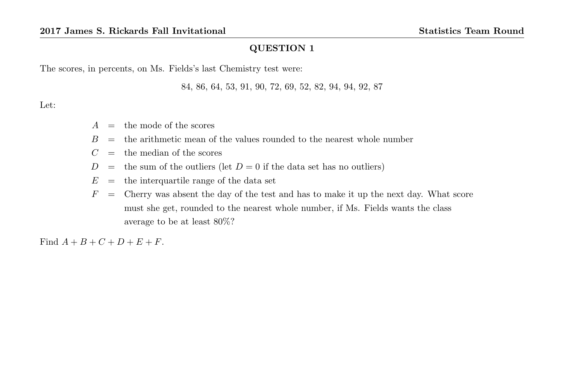The scores, in percents, on Ms. Fields's last Chemistry test were:

84, 86, 64, 53, 91, 90, 72, 69, 52, 82, 94, 94, 92, 87

Let:

- $A =$  the mode of the scores
- $B =$  the arithmetic mean of the values rounded to the nearest whole number
- $C =$  the median of the scores
- $D =$  the sum of the outliers (let  $D = 0$  if the data set has no outliers)
- $E =$  the interquartile range of the data set
- $F =$  Cherry was absent the day of the test and has to make it up the next day. What score must she get, rounded to the nearest whole number, if Ms. Fields wants the class average to be at least 80%?

Find  $A + B + C + D + E + F$ .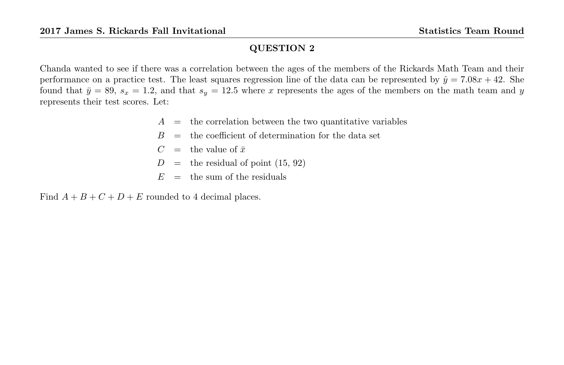Chanda wanted to see if there was a correlation between the ages of the members of the Rickards Math Team and their performance on a practice test. The least squares regression line of the data can be represented by  $\hat{y} = 7.08x + 42$ . She found that  $\bar{y} = 89$ ,  $s_x = 1.2$ , and that  $s_y = 12.5$  where x represents the ages of the members on the math team and y represents their test scores. Let:

- $A =$  the correlation between the two quantitative variables
- $B =$  the coefficient of determination for the data set
- $C =$  the value of  $\bar{x}$
- $D =$  the residual of point (15, 92)
- $E =$  the sum of the residuals

Find  $A + B + C + D + E$  rounded to 4 decimal places.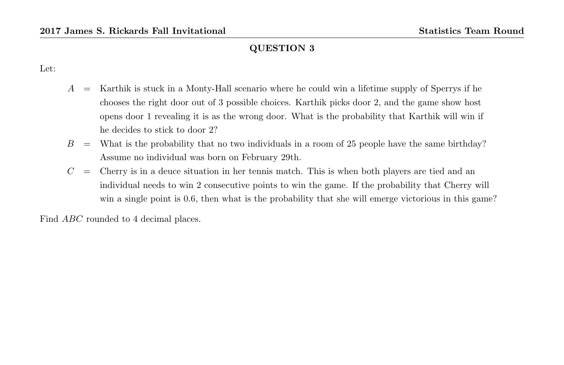Let:

- $A =$  Karthik is stuck in a Monty-Hall scenario where he could win a lifetime supply of Sperrys if he chooses the right door out of 3 possible choices. Karthik picks door 2, and the game show host opens door 1 revealing it is as the wrong door. What is the probability that Karthik will win if he decides to stick to door 2?
- $B =$  What is the probability that no two individuals in a room of 25 people have the same birthday? Assume no individual was born on February 29th.
- $C =$  Cherry is in a deuce situation in her tennis match. This is when both players are tied and an individual needs to win 2 consecutive points to win the game. If the probability that Cherry will win a single point is 0.6, then what is the probability that she will emerge victorious in this game?

Find *ABC* rounded to 4 decimal places.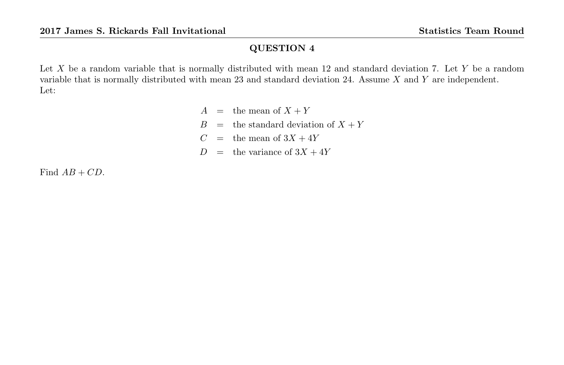Let  $X$  be a random variable that is normally distributed with mean 12 and standard deviation 7. Let  $Y$  be a random variable that is normally distributed with mean 23 and standard deviation 24. Assume X and Y are independent. Let:

> $A =$  the mean of  $X + Y$  $B =$  the standard deviation of  $X + Y$  $C =$  the mean of  $3X + 4Y$  $D =$  the variance of  $3X + 4Y$

Find  $AB + CD$ .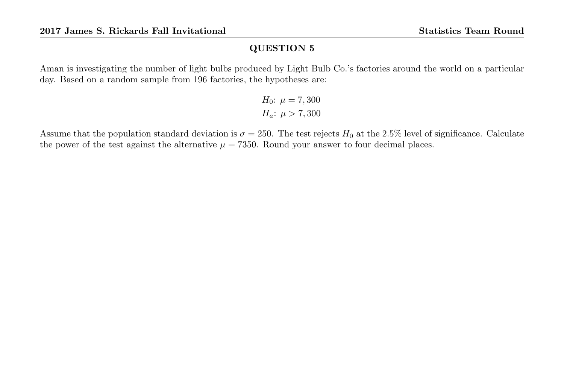Aman is investigating the number of light bulbs produced by Light Bulb Co.'s factories around the world on a particular day. Based on a random sample from 196 factories, the hypotheses are:

*H*<sub>0</sub>: 
$$
\mu = 7,300
$$
  
*H<sub>a</sub>*:  $\mu > 7,300$ 

Assume that the population standard deviation is  $\sigma = 250$ . The test rejects  $H_0$  at the 2.5% level of significance. Calculate the power of the test against the alternative  $\mu = 7350$ . Round your answer to four decimal places.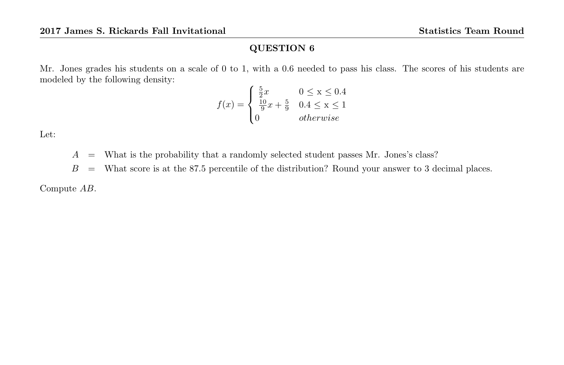Mr. Jones grades his students on a scale of 0 to 1, with a 0.6 needed to pass his class. The scores of his students are modeled by the following density:

$$
f(x) = \begin{cases} \frac{5}{2}x & 0 \le x \le 0.4\\ \frac{10}{9}x + \frac{5}{9} & 0.4 \le x \le 1\\ 0 & otherwise \end{cases}
$$

Let:

 $A =$  What is the probability that a randomly selected student passes Mr. Jones's class?

 $B =$  What score is at the 87.5 percentile of the distribution? Round your answer to 3 decimal places.

Compute AB.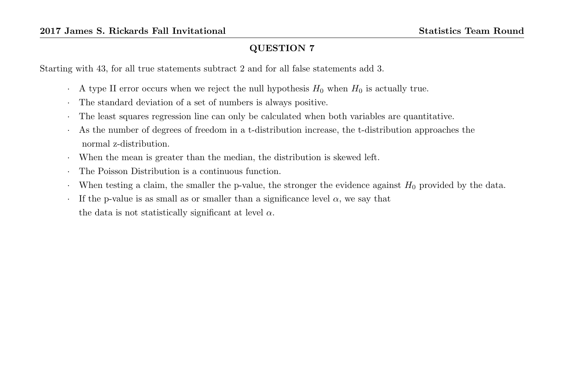Starting with 43, for all true statements subtract 2 and for all false statements add 3.

- $\cdot$  A type II error occurs when we reject the null hypothesis  $H_0$  when  $H_0$  is actually true.
- · The standard deviation of a set of numbers is always positive.
- · The least squares regression line can only be calculated when both variables are quantitative.
- · As the number of degrees of freedom in a t-distribution increase, the t-distribution approaches the normal z-distribution.
- · When the mean is greater than the median, the distribution is skewed left.
- The Poisson Distribution is a continuous function.
- When testing a claim, the smaller the p-value, the stronger the evidence against  $H_0$  provided by the data.
- $\cdot$  If the p-value is as small as or smaller than a significance level  $\alpha$ , we say that the data is not statistically significant at level  $\alpha$ .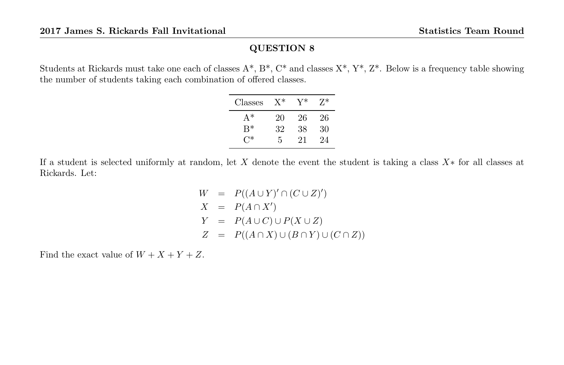Students at Rickards must take one each of classes  $A^*, B^*, C^*$  and classes  $X^*, Y^*, Z^*$ . Below is a frequency table showing the number of students taking each combination of offered classes.

| Classes | $X^*$ | Y* | $7*$ |
|---------|-------|----|------|
| $A^*$   | 20    | 26 | 26   |
| $R^*$   | 32    | 38 | 30   |
| $C^*$   | 5     | 21 | 24   |

If a student is selected uniformly at random, let X denote the event the student is taking a class X∗ for all classes at Rickards. Let:

> $W = P((A \cup Y)' \cap (C \cup Z)')$  $X = P(A \cap X')$  $Y = P(A \cup C) \cup P(X \cup Z)$  $Z = P((A \cap X) \cup (B \cap Y) \cup (C \cap Z))$

Find the exact value of  $W + X + Y + Z$ .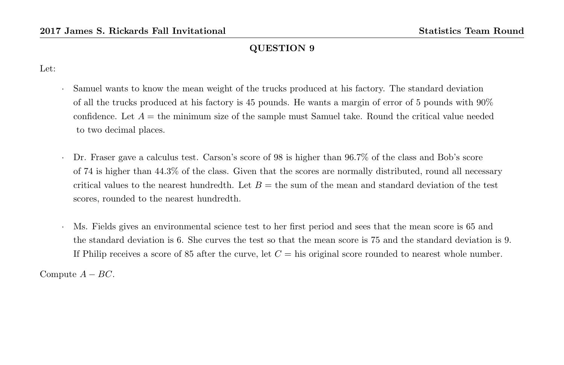Let:

- · Samuel wants to know the mean weight of the trucks produced at his factory. The standard deviation of all the trucks produced at his factory is 45 pounds. He wants a margin of error of 5 pounds with 90% confidence. Let  $A =$  the minimum size of the sample must Samuel take. Round the critical value needed to two decimal places.
- · Dr. Fraser gave a calculus test. Carson's score of 98 is higher than 96.7% of the class and Bob's score of 74 is higher than 44.3% of the class. Given that the scores are normally distributed, round all necessary critical values to the nearest hundredth. Let  $B =$  the sum of the mean and standard deviation of the test scores, rounded to the nearest hundredth.
- · Ms. Fields gives an environmental science test to her first period and sees that the mean score is 65 and the standard deviation is 6. She curves the test so that the mean score is 75 and the standard deviation is 9. If Philip receives a score of 85 after the curve, let  $C =$  his original score rounded to nearest whole number.

Compute  $A - BC$ .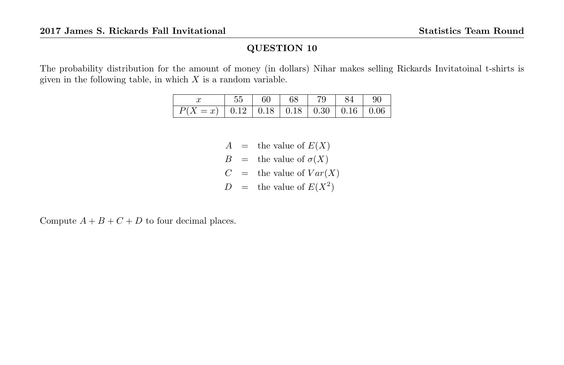The probability distribution for the amount of money (in dollars) Nihar makes selling Rickards Invitatoinal t-shirts is given in the following table, in which  $X$  is a random variable.

|                                                                              |  | 55   60   68   79   84   90 |  |  |
|------------------------------------------------------------------------------|--|-----------------------------|--|--|
| $\boxed{P(X=x) \mid 0.12 \mid 0.18 \mid 0.18 \mid 0.30 \mid 0.16 \mid 0.06}$ |  |                             |  |  |

- $A =$  the value of  $E(X)$
- $B =$  the value of  $\sigma(X)$
- $C =$  the value of  $Var(X)$
- $D =$  the value of  $E(X^2)$

Compute  $A + B + C + D$  to four decimal places.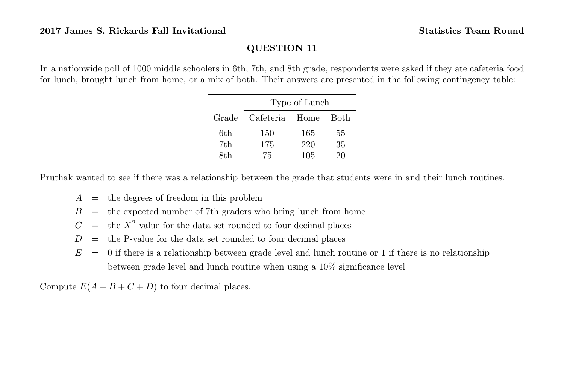In a nationwide poll of 1000 middle schoolers in 6th, 7th, and 8th grade, respondents were asked if they ate cafeteria food for lunch, brought lunch from home, or a mix of both. Their answers are presented in the following contingency table:

|       | Type of Lunch  |     |             |  |  |
|-------|----------------|-----|-------------|--|--|
| Grade | Cafeteria Home |     | <b>Both</b> |  |  |
| 6th   | 150            | 165 | 55          |  |  |
| 7th   | 175            | 220 | 35          |  |  |
| 8th   | 75             | 105 | 20          |  |  |

Pruthak wanted to see if there was a relationship between the grade that students were in and their lunch routines.

- $A =$  the degrees of freedom in this problem
- $B =$  the expected number of 7th graders who bring lunch from home
- $C =$  the  $X^2$  value for the data set rounded to four decimal places
- $D =$  the P-value for the data set rounded to four decimal places
- $E = 0$  if there is a relationship between grade level and lunch routine or 1 if there is no relationship between grade level and lunch routine when using a 10% significance level

Compute  $E(A + B + C + D)$  to four decimal places.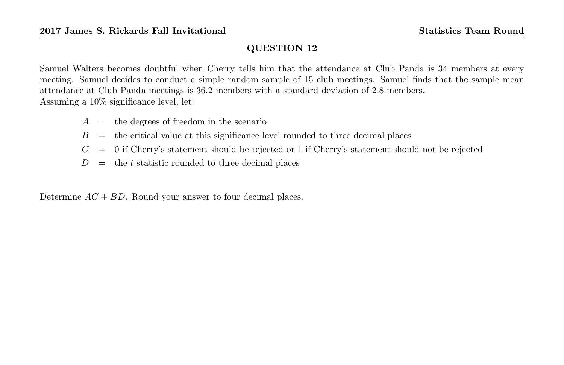Samuel Walters becomes doubtful when Cherry tells him that the attendance at Club Panda is 34 members at every meeting. Samuel decides to conduct a simple random sample of 15 club meetings. Samuel finds that the sample mean attendance at Club Panda meetings is 36.2 members with a standard deviation of 2.8 members. Assuming a 10% significance level, let:

- $A =$  the degrees of freedom in the scenario
- $B =$  the critical value at this significance level rounded to three decimal places
- $C = 0$  if Cherry's statement should be rejected or 1 if Cherry's statement should not be rejected
- $D =$  the *t*-statistic rounded to three decimal places

Determine  $AC + BD$ . Round your answer to four decimal places.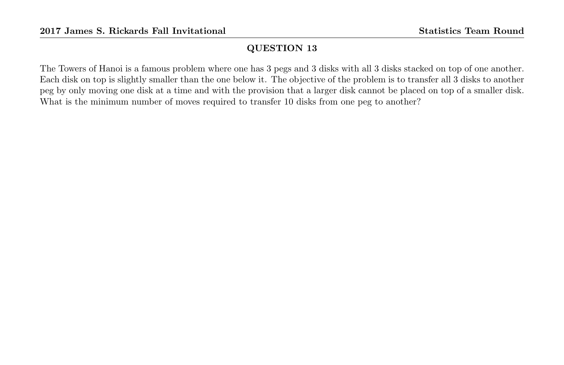The Towers of Hanoi is a famous problem where one has 3 pegs and 3 disks with all 3 disks stacked on top of one another. Each disk on top is slightly smaller than the one below it. The objective of the problem is to transfer all 3 disks to another peg by only moving one disk at a time and with the provision that a larger disk cannot be placed on top of a smaller disk. What is the minimum number of moves required to transfer 10 disks from one peg to another?